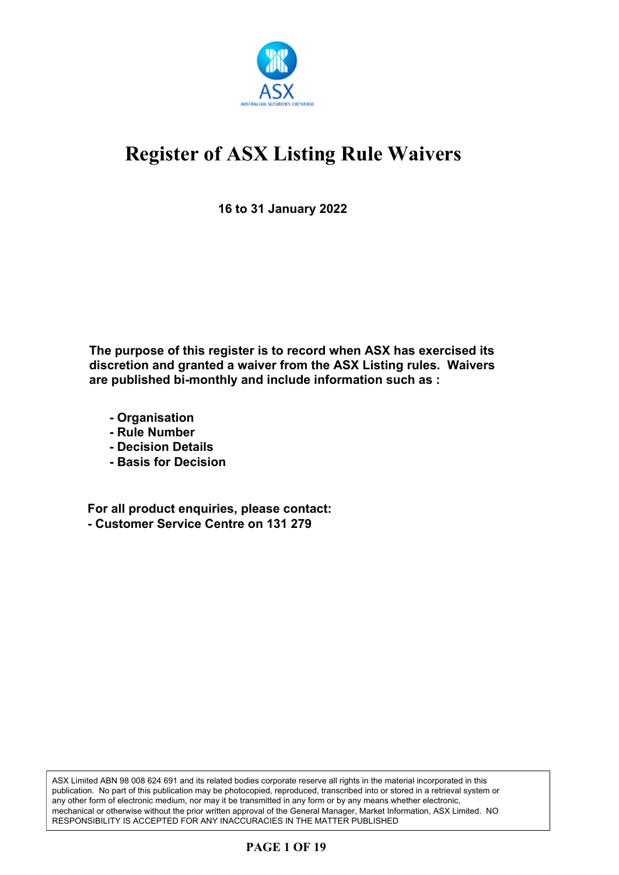

**16 to 31 January 2022**

**The purpose of this register is to record when ASX has exercised its discretion and granted a waiver from the ASX Listing rules. Waivers are published bi-monthly and include information such as :**

- **Organisation**
- **Rule Number**
- **Decision Details**
- **Basis for Decision**

**For all product enquiries, please contact: - Customer Service Centre on 131 279**

ASX Limited ABN 98 008 624 691 and its related bodies corporate reserve all rights in the material incorporated in this publication. No part of this publication may be photocopied, reproduced, transcribed into or stored in a retrieval system or any other form of electronic medium, nor may it be transmitted in any form or by any means whether electronic, mechanical or otherwise without the prior written approval of the General Manager, Market Information, ASX Limited. NO RESPONSIBILITY IS ACCEPTED FOR ANY INACCURACIES IN THE MATTER PUBLISHED

### **PAGE 1 OF 19**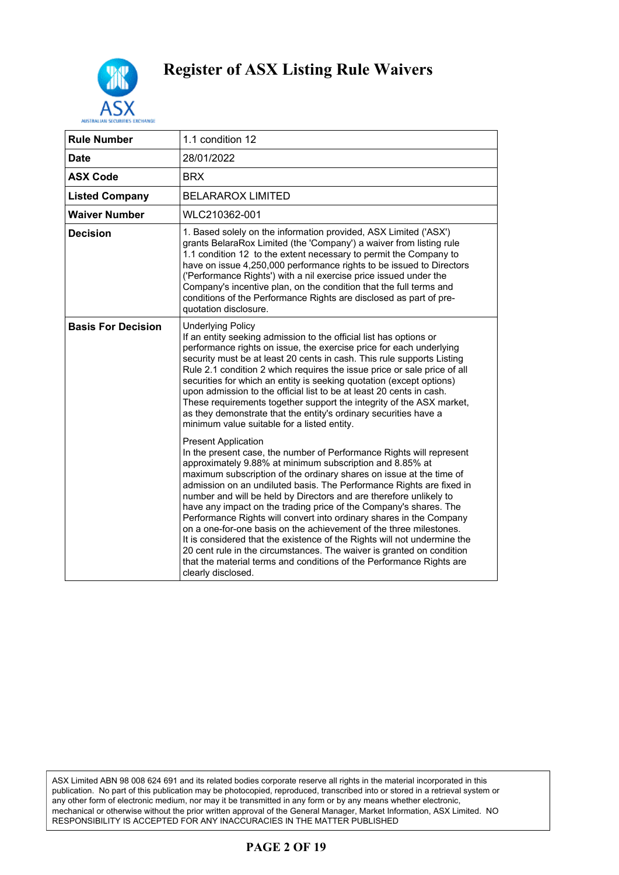

| <b>Rule Number</b>        | 1.1 condition 12                                                                                                                                                                                                                                                                                                                                                                                                                                                                                                                                                                                                                                                                                                                                                                                                                                         |
|---------------------------|----------------------------------------------------------------------------------------------------------------------------------------------------------------------------------------------------------------------------------------------------------------------------------------------------------------------------------------------------------------------------------------------------------------------------------------------------------------------------------------------------------------------------------------------------------------------------------------------------------------------------------------------------------------------------------------------------------------------------------------------------------------------------------------------------------------------------------------------------------|
| <b>Date</b>               | 28/01/2022                                                                                                                                                                                                                                                                                                                                                                                                                                                                                                                                                                                                                                                                                                                                                                                                                                               |
| <b>ASX Code</b>           | <b>BRX</b>                                                                                                                                                                                                                                                                                                                                                                                                                                                                                                                                                                                                                                                                                                                                                                                                                                               |
| <b>Listed Company</b>     | <b>BELARAROX LIMITED</b>                                                                                                                                                                                                                                                                                                                                                                                                                                                                                                                                                                                                                                                                                                                                                                                                                                 |
| <b>Waiver Number</b>      | WLC210362-001                                                                                                                                                                                                                                                                                                                                                                                                                                                                                                                                                                                                                                                                                                                                                                                                                                            |
| <b>Decision</b>           | 1. Based solely on the information provided, ASX Limited ('ASX')<br>grants BelaraRox Limited (the 'Company') a waiver from listing rule<br>1.1 condition 12 to the extent necessary to permit the Company to<br>have on issue 4,250,000 performance rights to be issued to Directors<br>('Performance Rights') with a nil exercise price issued under the<br>Company's incentive plan, on the condition that the full terms and<br>conditions of the Performance Rights are disclosed as part of pre-<br>quotation disclosure.                                                                                                                                                                                                                                                                                                                           |
| <b>Basis For Decision</b> | <b>Underlying Policy</b><br>If an entity seeking admission to the official list has options or<br>performance rights on issue, the exercise price for each underlying<br>security must be at least 20 cents in cash. This rule supports Listing<br>Rule 2.1 condition 2 which requires the issue price or sale price of all<br>securities for which an entity is seeking quotation (except options)<br>upon admission to the official list to be at least 20 cents in cash.<br>These requirements together support the integrity of the ASX market,<br>as they demonstrate that the entity's ordinary securities have a<br>minimum value suitable for a listed entity.                                                                                                                                                                                   |
|                           | <b>Present Application</b><br>In the present case, the number of Performance Rights will represent<br>approximately 9.88% at minimum subscription and 8.85% at<br>maximum subscription of the ordinary shares on issue at the time of<br>admission on an undiluted basis. The Performance Rights are fixed in<br>number and will be held by Directors and are therefore unlikely to<br>have any impact on the trading price of the Company's shares. The<br>Performance Rights will convert into ordinary shares in the Company<br>on a one-for-one basis on the achievement of the three milestones.<br>It is considered that the existence of the Rights will not undermine the<br>20 cent rule in the circumstances. The waiver is granted on condition<br>that the material terms and conditions of the Performance Rights are<br>clearly disclosed. |

ASX Limited ABN 98 008 624 691 and its related bodies corporate reserve all rights in the material incorporated in this publication. No part of this publication may be photocopied, reproduced, transcribed into or stored in a retrieval system or any other form of electronic medium, nor may it be transmitted in any form or by any means whether electronic, mechanical or otherwise without the prior written approval of the General Manager, Market Information, ASX Limited. NO RESPONSIBILITY IS ACCEPTED FOR ANY INACCURACIES IN THE MATTER PUBLISHED

#### **PAGE 2 OF 19**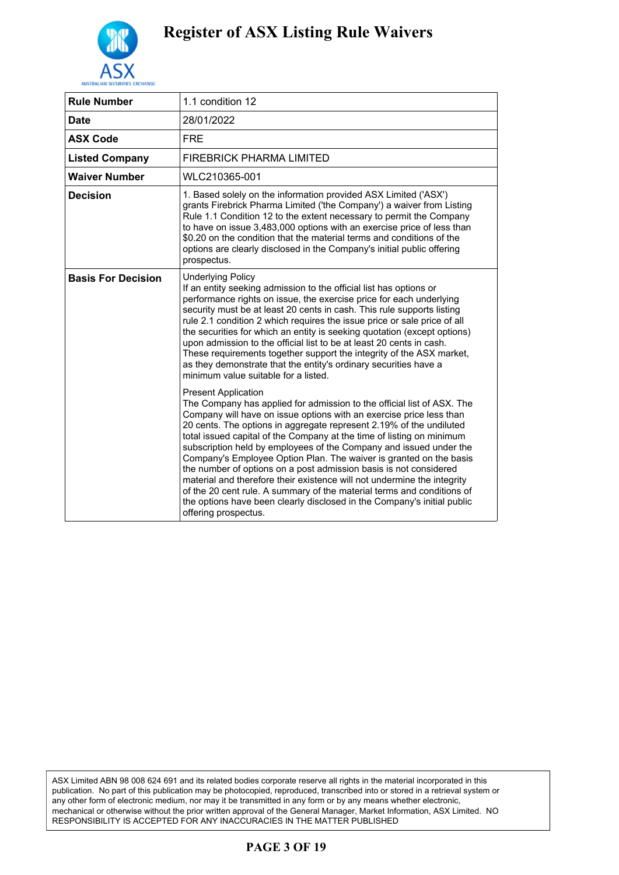

| <b>Rule Number</b>        | 1.1 condition 12                                                                                                                                                                                                                                                                                                                                                                                                                                                                                                                                                                                                                                                                                                                                                                                                                                                                                                                                                                                                                                                                                                                                                                                                                                                                                                                                                                                                                                                            |
|---------------------------|-----------------------------------------------------------------------------------------------------------------------------------------------------------------------------------------------------------------------------------------------------------------------------------------------------------------------------------------------------------------------------------------------------------------------------------------------------------------------------------------------------------------------------------------------------------------------------------------------------------------------------------------------------------------------------------------------------------------------------------------------------------------------------------------------------------------------------------------------------------------------------------------------------------------------------------------------------------------------------------------------------------------------------------------------------------------------------------------------------------------------------------------------------------------------------------------------------------------------------------------------------------------------------------------------------------------------------------------------------------------------------------------------------------------------------------------------------------------------------|
| <b>Date</b>               | 28/01/2022                                                                                                                                                                                                                                                                                                                                                                                                                                                                                                                                                                                                                                                                                                                                                                                                                                                                                                                                                                                                                                                                                                                                                                                                                                                                                                                                                                                                                                                                  |
| <b>ASX Code</b>           | <b>FRE</b>                                                                                                                                                                                                                                                                                                                                                                                                                                                                                                                                                                                                                                                                                                                                                                                                                                                                                                                                                                                                                                                                                                                                                                                                                                                                                                                                                                                                                                                                  |
| <b>Listed Company</b>     | FIREBRICK PHARMA LIMITED                                                                                                                                                                                                                                                                                                                                                                                                                                                                                                                                                                                                                                                                                                                                                                                                                                                                                                                                                                                                                                                                                                                                                                                                                                                                                                                                                                                                                                                    |
| Waiver Number             | WLC210365-001                                                                                                                                                                                                                                                                                                                                                                                                                                                                                                                                                                                                                                                                                                                                                                                                                                                                                                                                                                                                                                                                                                                                                                                                                                                                                                                                                                                                                                                               |
| <b>Decision</b>           | 1. Based solely on the information provided ASX Limited ('ASX')<br>grants Firebrick Pharma Limited ('the Company') a waiver from Listing<br>Rule 1.1 Condition 12 to the extent necessary to permit the Company<br>to have on issue 3,483,000 options with an exercise price of less than<br>\$0.20 on the condition that the material terms and conditions of the<br>options are clearly disclosed in the Company's initial public offering<br>prospectus.                                                                                                                                                                                                                                                                                                                                                                                                                                                                                                                                                                                                                                                                                                                                                                                                                                                                                                                                                                                                                 |
| <b>Basis For Decision</b> | <b>Underlying Policy</b><br>If an entity seeking admission to the official list has options or<br>performance rights on issue, the exercise price for each underlying<br>security must be at least 20 cents in cash. This rule supports listing<br>rule 2.1 condition 2 which requires the issue price or sale price of all<br>the securities for which an entity is seeking quotation (except options)<br>upon admission to the official list to be at least 20 cents in cash.<br>These requirements together support the integrity of the ASX market,<br>as they demonstrate that the entity's ordinary securities have a<br>minimum value suitable for a listed.<br><b>Present Application</b><br>The Company has applied for admission to the official list of ASX. The<br>Company will have on issue options with an exercise price less than<br>20 cents. The options in aggregate represent 2.19% of the undiluted<br>total issued capital of the Company at the time of listing on minimum<br>subscription held by employees of the Company and issued under the<br>Company's Employee Option Plan. The waiver is granted on the basis<br>the number of options on a post admission basis is not considered<br>material and therefore their existence will not undermine the integrity<br>of the 20 cent rule. A summary of the material terms and conditions of<br>the options have been clearly disclosed in the Company's initial public<br>offering prospectus. |

ASX Limited ABN 98 008 624 691 and its related bodies corporate reserve all rights in the material incorporated in this publication. No part of this publication may be photocopied, reproduced, transcribed into or stored in a retrieval system or any other form of electronic medium, nor may it be transmitted in any form or by any means whether electronic, mechanical or otherwise without the prior written approval of the General Manager, Market Information, ASX Limited. NO RESPONSIBILITY IS ACCEPTED FOR ANY INACCURACIES IN THE MATTER PUBLISHED

#### **PAGE 3 OF 19**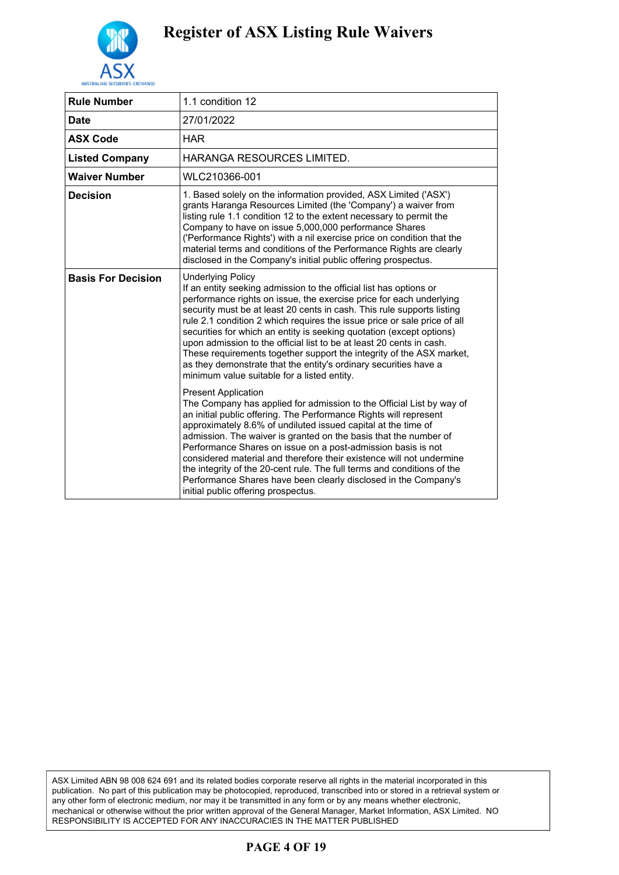

| <b>Rule Number</b>        | 1.1 condition 12                                                                                                                                                                                                                                                                                                                                                                                                                                                                                                                                                                                                                                                       |
|---------------------------|------------------------------------------------------------------------------------------------------------------------------------------------------------------------------------------------------------------------------------------------------------------------------------------------------------------------------------------------------------------------------------------------------------------------------------------------------------------------------------------------------------------------------------------------------------------------------------------------------------------------------------------------------------------------|
| <b>Date</b>               | 27/01/2022                                                                                                                                                                                                                                                                                                                                                                                                                                                                                                                                                                                                                                                             |
| <b>ASX Code</b>           | <b>HAR</b>                                                                                                                                                                                                                                                                                                                                                                                                                                                                                                                                                                                                                                                             |
| <b>Listed Company</b>     | <b>HARANGA RESOURCES LIMITED.</b>                                                                                                                                                                                                                                                                                                                                                                                                                                                                                                                                                                                                                                      |
| <b>Waiver Number</b>      | WLC210366-001                                                                                                                                                                                                                                                                                                                                                                                                                                                                                                                                                                                                                                                          |
| <b>Decision</b>           | 1. Based solely on the information provided, ASX Limited ('ASX')<br>grants Haranga Resources Limited (the 'Company') a waiver from<br>listing rule 1.1 condition 12 to the extent necessary to permit the<br>Company to have on issue 5,000,000 performance Shares<br>('Performance Rights') with a nil exercise price on condition that the<br>material terms and conditions of the Performance Rights are clearly<br>disclosed in the Company's initial public offering prospectus.                                                                                                                                                                                  |
| <b>Basis For Decision</b> | <b>Underlying Policy</b><br>If an entity seeking admission to the official list has options or<br>performance rights on issue, the exercise price for each underlying<br>security must be at least 20 cents in cash. This rule supports listing<br>rule 2.1 condition 2 which requires the issue price or sale price of all<br>securities for which an entity is seeking quotation (except options)<br>upon admission to the official list to be at least 20 cents in cash.<br>These requirements together support the integrity of the ASX market,<br>as they demonstrate that the entity's ordinary securities have a<br>minimum value suitable for a listed entity. |
|                           | <b>Present Application</b><br>The Company has applied for admission to the Official List by way of<br>an initial public offering. The Performance Rights will represent<br>approximately 8.6% of undiluted issued capital at the time of<br>admission. The waiver is granted on the basis that the number of<br>Performance Shares on issue on a post-admission basis is not<br>considered material and therefore their existence will not undermine<br>the integrity of the 20-cent rule. The full terms and conditions of the<br>Performance Shares have been clearly disclosed in the Company's<br>initial public offering prospectus.                              |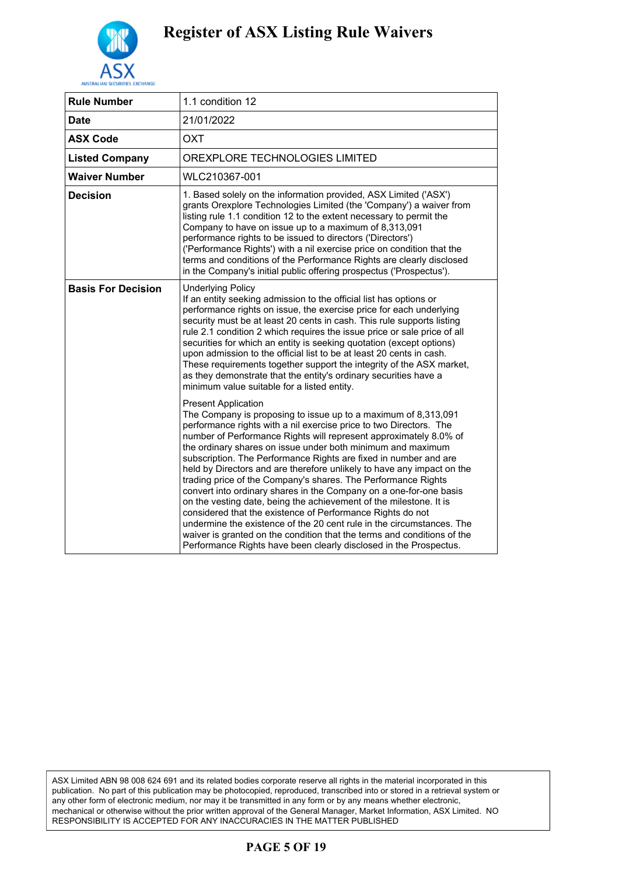

| <b>Rule Number</b>        | 1.1 condition 12                                                                                                                                                                                                                                                                                                                                                                                                                                                                                                                                                                                                                                                                                                                                                                                                                                                                                                                                         |
|---------------------------|----------------------------------------------------------------------------------------------------------------------------------------------------------------------------------------------------------------------------------------------------------------------------------------------------------------------------------------------------------------------------------------------------------------------------------------------------------------------------------------------------------------------------------------------------------------------------------------------------------------------------------------------------------------------------------------------------------------------------------------------------------------------------------------------------------------------------------------------------------------------------------------------------------------------------------------------------------|
| Date                      | 21/01/2022                                                                                                                                                                                                                                                                                                                                                                                                                                                                                                                                                                                                                                                                                                                                                                                                                                                                                                                                               |
| <b>ASX Code</b>           | <b>OXT</b>                                                                                                                                                                                                                                                                                                                                                                                                                                                                                                                                                                                                                                                                                                                                                                                                                                                                                                                                               |
| <b>Listed Company</b>     | OREXPLORE TECHNOLOGIES LIMITED                                                                                                                                                                                                                                                                                                                                                                                                                                                                                                                                                                                                                                                                                                                                                                                                                                                                                                                           |
| <b>Waiver Number</b>      | WLC210367-001                                                                                                                                                                                                                                                                                                                                                                                                                                                                                                                                                                                                                                                                                                                                                                                                                                                                                                                                            |
| <b>Decision</b>           | 1. Based solely on the information provided, ASX Limited ('ASX')<br>grants Orexplore Technologies Limited (the 'Company') a waiver from<br>listing rule 1.1 condition 12 to the extent necessary to permit the<br>Company to have on issue up to a maximum of 8,313,091<br>performance rights to be issued to directors ('Directors')<br>('Performance Rights') with a nil exercise price on condition that the<br>terms and conditions of the Performance Rights are clearly disclosed<br>in the Company's initial public offering prospectus ('Prospectus').                                                                                                                                                                                                                                                                                                                                                                                           |
| <b>Basis For Decision</b> | <b>Underlying Policy</b><br>If an entity seeking admission to the official list has options or<br>performance rights on issue, the exercise price for each underlying<br>security must be at least 20 cents in cash. This rule supports listing<br>rule 2.1 condition 2 which requires the issue price or sale price of all<br>securities for which an entity is seeking quotation (except options)<br>upon admission to the official list to be at least 20 cents in cash.<br>These requirements together support the integrity of the ASX market,<br>as they demonstrate that the entity's ordinary securities have a<br>minimum value suitable for a listed entity.                                                                                                                                                                                                                                                                                   |
|                           | <b>Present Application</b><br>The Company is proposing to issue up to a maximum of 8,313,091<br>performance rights with a nil exercise price to two Directors. The<br>number of Performance Rights will represent approximately 8.0% of<br>the ordinary shares on issue under both minimum and maximum<br>subscription. The Performance Rights are fixed in number and are<br>held by Directors and are therefore unlikely to have any impact on the<br>trading price of the Company's shares. The Performance Rights<br>convert into ordinary shares in the Company on a one-for-one basis<br>on the vesting date, being the achievement of the milestone. It is<br>considered that the existence of Performance Rights do not<br>undermine the existence of the 20 cent rule in the circumstances. The<br>waiver is granted on the condition that the terms and conditions of the<br>Performance Rights have been clearly disclosed in the Prospectus. |

ASX Limited ABN 98 008 624 691 and its related bodies corporate reserve all rights in the material incorporated in this publication. No part of this publication may be photocopied, reproduced, transcribed into or stored in a retrieval system or any other form of electronic medium, nor may it be transmitted in any form or by any means whether electronic, mechanical or otherwise without the prior written approval of the General Manager, Market Information, ASX Limited. NO RESPONSIBILITY IS ACCEPTED FOR ANY INACCURACIES IN THE MATTER PUBLISHED

#### **PAGE 5 OF 19**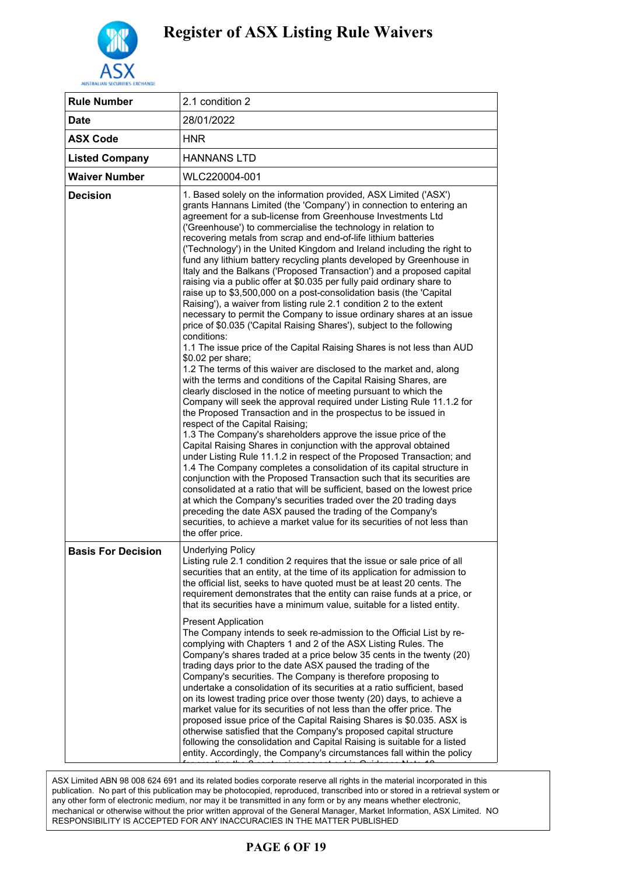

| <b>Rule Number</b>        | 2.1 condition 2                                                                                                                                                                                                                                                                                                                                                                                                                                                                                                                                                                                                                                                                                                                                                                                                                                                                                                                                                                                                                                                                                                                                                                                                                                                                                                                                                                                                                                                                                                                                                                                                                                                                                                                                                                                                                                                                                                                                                                                                                                                                                                                              |
|---------------------------|----------------------------------------------------------------------------------------------------------------------------------------------------------------------------------------------------------------------------------------------------------------------------------------------------------------------------------------------------------------------------------------------------------------------------------------------------------------------------------------------------------------------------------------------------------------------------------------------------------------------------------------------------------------------------------------------------------------------------------------------------------------------------------------------------------------------------------------------------------------------------------------------------------------------------------------------------------------------------------------------------------------------------------------------------------------------------------------------------------------------------------------------------------------------------------------------------------------------------------------------------------------------------------------------------------------------------------------------------------------------------------------------------------------------------------------------------------------------------------------------------------------------------------------------------------------------------------------------------------------------------------------------------------------------------------------------------------------------------------------------------------------------------------------------------------------------------------------------------------------------------------------------------------------------------------------------------------------------------------------------------------------------------------------------------------------------------------------------------------------------------------------------|
| <b>Date</b>               | 28/01/2022                                                                                                                                                                                                                                                                                                                                                                                                                                                                                                                                                                                                                                                                                                                                                                                                                                                                                                                                                                                                                                                                                                                                                                                                                                                                                                                                                                                                                                                                                                                                                                                                                                                                                                                                                                                                                                                                                                                                                                                                                                                                                                                                   |
| <b>ASX Code</b>           | <b>HNR</b>                                                                                                                                                                                                                                                                                                                                                                                                                                                                                                                                                                                                                                                                                                                                                                                                                                                                                                                                                                                                                                                                                                                                                                                                                                                                                                                                                                                                                                                                                                                                                                                                                                                                                                                                                                                                                                                                                                                                                                                                                                                                                                                                   |
| <b>Listed Company</b>     | <b>HANNANS LTD</b>                                                                                                                                                                                                                                                                                                                                                                                                                                                                                                                                                                                                                                                                                                                                                                                                                                                                                                                                                                                                                                                                                                                                                                                                                                                                                                                                                                                                                                                                                                                                                                                                                                                                                                                                                                                                                                                                                                                                                                                                                                                                                                                           |
| <b>Waiver Number</b>      | WLC220004-001                                                                                                                                                                                                                                                                                                                                                                                                                                                                                                                                                                                                                                                                                                                                                                                                                                                                                                                                                                                                                                                                                                                                                                                                                                                                                                                                                                                                                                                                                                                                                                                                                                                                                                                                                                                                                                                                                                                                                                                                                                                                                                                                |
| <b>Decision</b>           | 1. Based solely on the information provided, ASX Limited ('ASX')<br>grants Hannans Limited (the 'Company') in connection to entering an<br>agreement for a sub-license from Greenhouse Investments Ltd<br>('Greenhouse') to commercialise the technology in relation to<br>recovering metals from scrap and end-of-life lithium batteries<br>('Technology') in the United Kingdom and Ireland including the right to<br>fund any lithium battery recycling plants developed by Greenhouse in<br>Italy and the Balkans ('Proposed Transaction') and a proposed capital<br>raising via a public offer at \$0.035 per fully paid ordinary share to<br>raise up to \$3,500,000 on a post-consolidation basis (the 'Capital<br>Raising'), a waiver from listing rule 2.1 condition 2 to the extent<br>necessary to permit the Company to issue ordinary shares at an issue<br>price of \$0.035 ('Capital Raising Shares'), subject to the following<br>conditions:<br>1.1 The issue price of the Capital Raising Shares is not less than AUD<br>\$0.02 per share;<br>1.2 The terms of this waiver are disclosed to the market and, along<br>with the terms and conditions of the Capital Raising Shares, are<br>clearly disclosed in the notice of meeting pursuant to which the<br>Company will seek the approval required under Listing Rule 11.1.2 for<br>the Proposed Transaction and in the prospectus to be issued in<br>respect of the Capital Raising;<br>1.3 The Company's shareholders approve the issue price of the<br>Capital Raising Shares in conjunction with the approval obtained<br>under Listing Rule 11.1.2 in respect of the Proposed Transaction; and<br>1.4 The Company completes a consolidation of its capital structure in<br>conjunction with the Proposed Transaction such that its securities are<br>consolidated at a ratio that will be sufficient, based on the lowest price<br>at which the Company's securities traded over the 20 trading days<br>preceding the date ASX paused the trading of the Company's<br>securities, to achieve a market value for its securities of not less than<br>the offer price. |
| <b>Basis For Decision</b> | <b>Underlying Policy</b><br>Listing rule 2.1 condition 2 requires that the issue or sale price of all<br>securities that an entity, at the time of its application for admission to<br>the official list, seeks to have quoted must be at least 20 cents. The<br>requirement demonstrates that the entity can raise funds at a price, or<br>that its securities have a minimum value, suitable for a listed entity.<br><b>Present Application</b><br>The Company intends to seek re-admission to the Official List by re-<br>complying with Chapters 1 and 2 of the ASX Listing Rules. The<br>Company's shares traded at a price below 35 cents in the twenty (20)<br>trading days prior to the date ASX paused the trading of the<br>Company's securities. The Company is therefore proposing to<br>undertake a consolidation of its securities at a ratio sufficient, based<br>on its lowest trading price over those twenty (20) days, to achieve a<br>market value for its securities of not less than the offer price. The<br>proposed issue price of the Capital Raising Shares is \$0.035. ASX is<br>otherwise satisfied that the Company's proposed capital structure<br>following the consolidation and Capital Raising is suitable for a listed<br>entity. Accordingly, the Company's circumstances fall within the policy                                                                                                                                                                                                                                                                                                                                                                                                                                                                                                                                                                                                                                                                                                                                                                                                         |

ASX Limited ABN 98 008 624 691 and its related bodies corporate reserve all rights in the material incorporated in this publication. No part of this publication may be photocopied, reproduced, transcribed into or stored in a retrieval system or any other form of electronic medium, nor may it be transmitted in any form or by any means whether electronic, mechanical or otherwise without the prior written approval of the General Manager, Market Information, ASX Limited. NO RESPONSIBILITY IS ACCEPTED FOR ANY INACCURACIES IN THE MATTER PUBLISHED

### **PAGE 6 OF 19**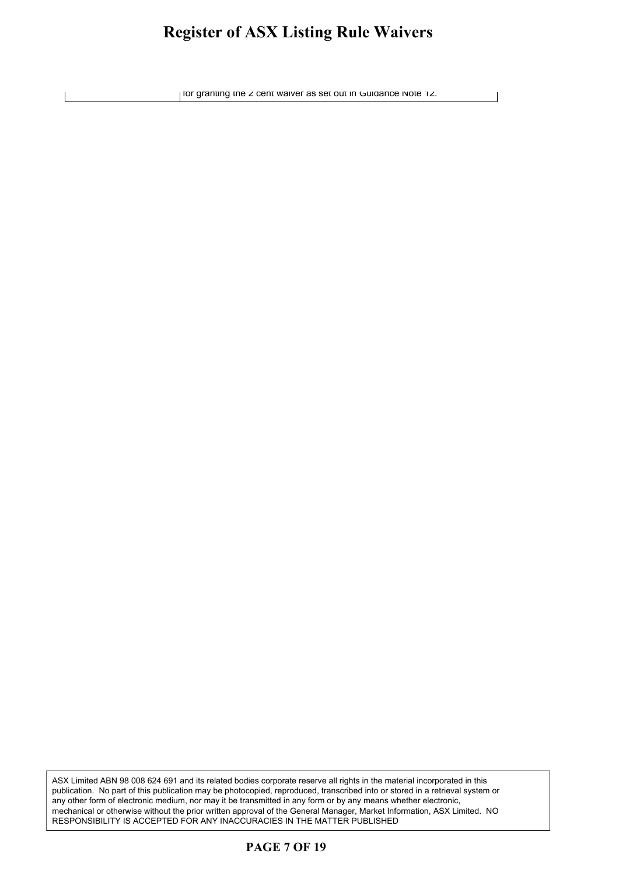#### **Register of ASX Listing Rule Waivers** oister of ASY Listing Rule Waivers given of their modify ready than the original

for granting the 2 cent waiver as set out in Guidance Note 12.

ASX Limited ABN 98 008 624 691 and its related bodies corporate reserve all rights in the material incorporated in this publication. No part of this publication may be photocopied, reproduced, transcribed into or stored in a retrieval system or any other form of electronic medium, nor may it be transmitted in any form or by any means whether electronic, mechanical or otherwise without the prior written approval of the General Manager, Market Information, ASX Limited. NO RESPONSIBILITY IS ACCEPTED FOR ANY INACCURACIES IN THE MATTER PUBLISHED

#### **PAGE 7 OF 19**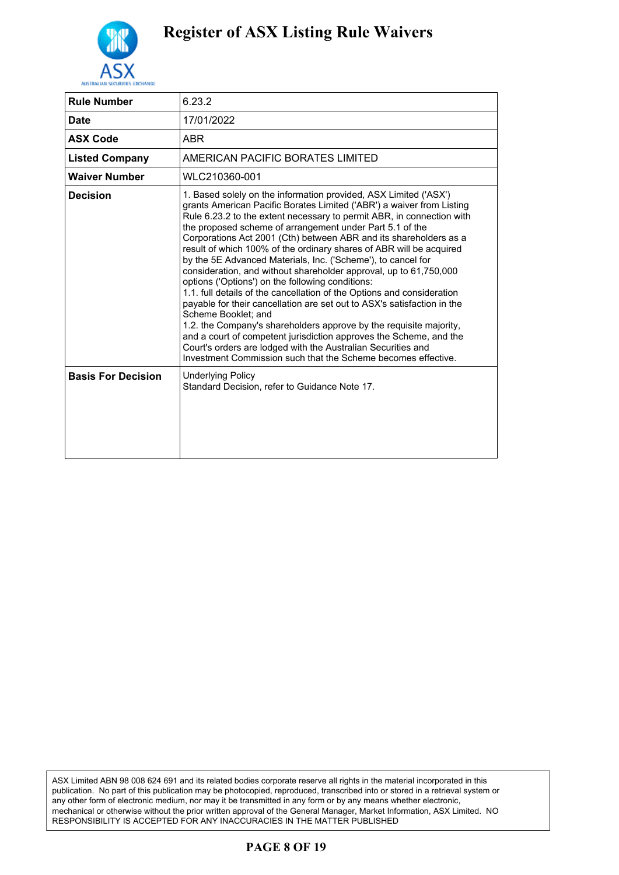

| <b>Rule Number</b>        | 6.23.2                                                                                                                                                                                                                                                                                                                                                                                                                                                                                                                                                                                                                                                                                                                                                                                                                                                                                                                                                                                                                                                                       |
|---------------------------|------------------------------------------------------------------------------------------------------------------------------------------------------------------------------------------------------------------------------------------------------------------------------------------------------------------------------------------------------------------------------------------------------------------------------------------------------------------------------------------------------------------------------------------------------------------------------------------------------------------------------------------------------------------------------------------------------------------------------------------------------------------------------------------------------------------------------------------------------------------------------------------------------------------------------------------------------------------------------------------------------------------------------------------------------------------------------|
| <b>Date</b>               | 17/01/2022                                                                                                                                                                                                                                                                                                                                                                                                                                                                                                                                                                                                                                                                                                                                                                                                                                                                                                                                                                                                                                                                   |
| <b>ASX Code</b>           | <b>ABR</b>                                                                                                                                                                                                                                                                                                                                                                                                                                                                                                                                                                                                                                                                                                                                                                                                                                                                                                                                                                                                                                                                   |
| <b>Listed Company</b>     | AMERICAN PACIFIC BORATES LIMITED                                                                                                                                                                                                                                                                                                                                                                                                                                                                                                                                                                                                                                                                                                                                                                                                                                                                                                                                                                                                                                             |
| <b>Waiver Number</b>      | WLC210360-001                                                                                                                                                                                                                                                                                                                                                                                                                                                                                                                                                                                                                                                                                                                                                                                                                                                                                                                                                                                                                                                                |
| <b>Decision</b>           | 1. Based solely on the information provided, ASX Limited ('ASX')<br>grants American Pacific Borates Limited ('ABR') a waiver from Listing<br>Rule 6.23.2 to the extent necessary to permit ABR, in connection with<br>the proposed scheme of arrangement under Part 5.1 of the<br>Corporations Act 2001 (Cth) between ABR and its shareholders as a<br>result of which 100% of the ordinary shares of ABR will be acquired<br>by the 5E Advanced Materials, Inc. ('Scheme'), to cancel for<br>consideration, and without shareholder approval, up to 61,750,000<br>options ('Options') on the following conditions:<br>1.1. full details of the cancellation of the Options and consideration<br>payable for their cancellation are set out to ASX's satisfaction in the<br>Scheme Booklet: and<br>1.2. the Company's shareholders approve by the requisite majority,<br>and a court of competent jurisdiction approves the Scheme, and the<br>Court's orders are lodged with the Australian Securities and<br>Investment Commission such that the Scheme becomes effective. |
| <b>Basis For Decision</b> | <b>Underlying Policy</b><br>Standard Decision, refer to Guidance Note 17.                                                                                                                                                                                                                                                                                                                                                                                                                                                                                                                                                                                                                                                                                                                                                                                                                                                                                                                                                                                                    |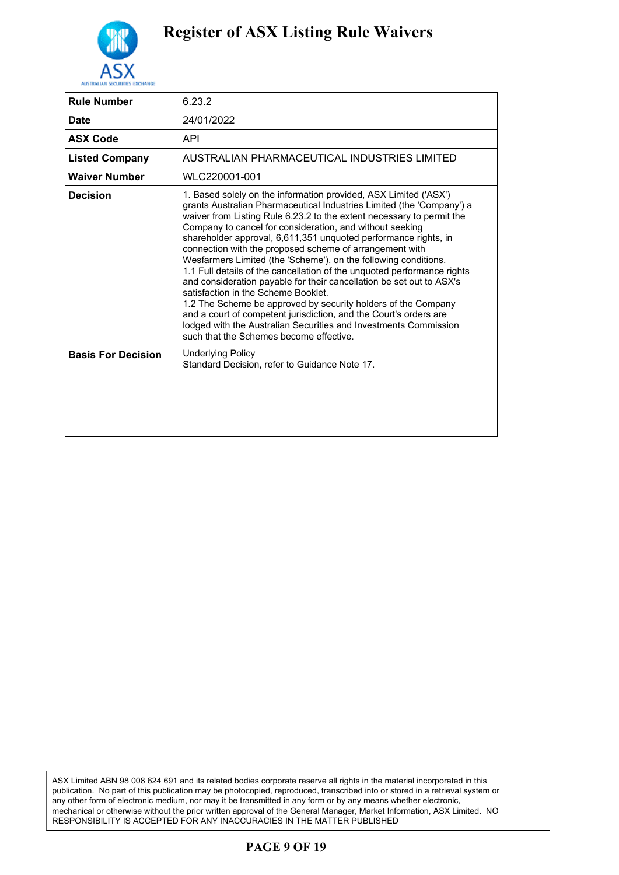

| <b>Rule Number</b>        | 6.23.2                                                                                                                                                                                                                                                                                                                                                                                                                                                                                                                                                                                                                                                                                                                                                                                                                                                                                                                         |
|---------------------------|--------------------------------------------------------------------------------------------------------------------------------------------------------------------------------------------------------------------------------------------------------------------------------------------------------------------------------------------------------------------------------------------------------------------------------------------------------------------------------------------------------------------------------------------------------------------------------------------------------------------------------------------------------------------------------------------------------------------------------------------------------------------------------------------------------------------------------------------------------------------------------------------------------------------------------|
| <b>Date</b>               | 24/01/2022                                                                                                                                                                                                                                                                                                                                                                                                                                                                                                                                                                                                                                                                                                                                                                                                                                                                                                                     |
| <b>ASX Code</b>           | <b>API</b>                                                                                                                                                                                                                                                                                                                                                                                                                                                                                                                                                                                                                                                                                                                                                                                                                                                                                                                     |
| <b>Listed Company</b>     | AUSTRALIAN PHARMACEUTICAL INDUSTRIES LIMITED                                                                                                                                                                                                                                                                                                                                                                                                                                                                                                                                                                                                                                                                                                                                                                                                                                                                                   |
| <b>Waiver Number</b>      | WLC220001-001                                                                                                                                                                                                                                                                                                                                                                                                                                                                                                                                                                                                                                                                                                                                                                                                                                                                                                                  |
| <b>Decision</b>           | 1. Based solely on the information provided, ASX Limited ('ASX')<br>grants Australian Pharmaceutical Industries Limited (the 'Company') a<br>waiver from Listing Rule 6.23.2 to the extent necessary to permit the<br>Company to cancel for consideration, and without seeking<br>shareholder approval, 6,611,351 unquoted performance rights, in<br>connection with the proposed scheme of arrangement with<br>Wesfarmers Limited (the 'Scheme'), on the following conditions.<br>1.1 Full details of the cancellation of the unquoted performance rights<br>and consideration payable for their cancellation be set out to ASX's<br>satisfaction in the Scheme Booklet.<br>1.2 The Scheme be approved by security holders of the Company<br>and a court of competent jurisdiction, and the Court's orders are<br>lodged with the Australian Securities and Investments Commission<br>such that the Schemes become effective. |
| <b>Basis For Decision</b> | <b>Underlying Policy</b><br>Standard Decision, refer to Guidance Note 17.                                                                                                                                                                                                                                                                                                                                                                                                                                                                                                                                                                                                                                                                                                                                                                                                                                                      |

ASX Limited ABN 98 008 624 691 and its related bodies corporate reserve all rights in the material incorporated in this publication. No part of this publication may be photocopied, reproduced, transcribed into or stored in a retrieval system or any other form of electronic medium, nor may it be transmitted in any form or by any means whether electronic, mechanical or otherwise without the prior written approval of the General Manager, Market Information, ASX Limited. NO RESPONSIBILITY IS ACCEPTED FOR ANY INACCURACIES IN THE MATTER PUBLISHED

#### **PAGE 9 OF 19**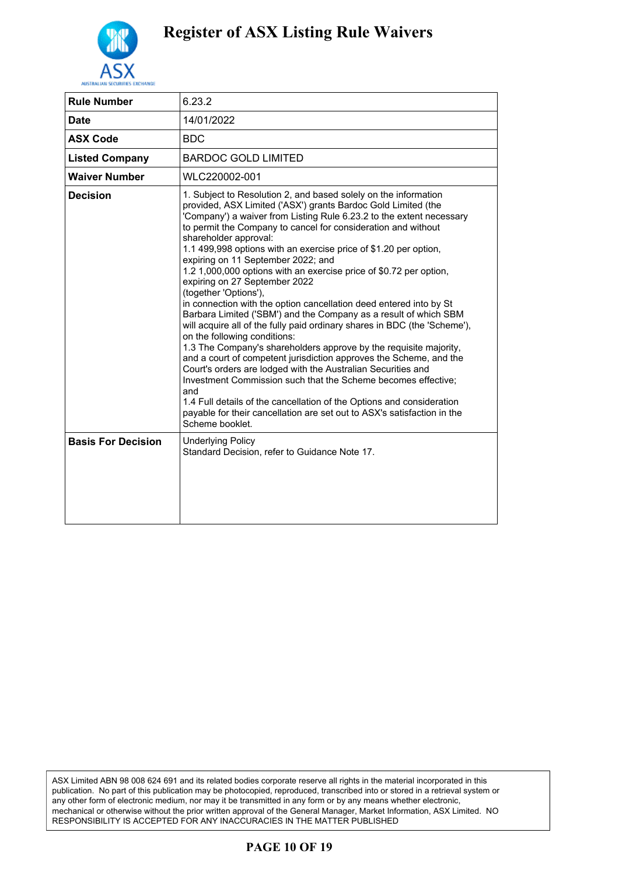

| <b>Rule Number</b>        | 6.23.2                                                                                                                                                                                                                                                                                                                                                                                                                                                                                                                                                                                                                                                                                                                                                                                                                                                                                                                                                                                                                                                                                                                                                                                                                                                        |
|---------------------------|---------------------------------------------------------------------------------------------------------------------------------------------------------------------------------------------------------------------------------------------------------------------------------------------------------------------------------------------------------------------------------------------------------------------------------------------------------------------------------------------------------------------------------------------------------------------------------------------------------------------------------------------------------------------------------------------------------------------------------------------------------------------------------------------------------------------------------------------------------------------------------------------------------------------------------------------------------------------------------------------------------------------------------------------------------------------------------------------------------------------------------------------------------------------------------------------------------------------------------------------------------------|
| <b>Date</b>               | 14/01/2022                                                                                                                                                                                                                                                                                                                                                                                                                                                                                                                                                                                                                                                                                                                                                                                                                                                                                                                                                                                                                                                                                                                                                                                                                                                    |
| <b>ASX Code</b>           | <b>BDC</b>                                                                                                                                                                                                                                                                                                                                                                                                                                                                                                                                                                                                                                                                                                                                                                                                                                                                                                                                                                                                                                                                                                                                                                                                                                                    |
| <b>Listed Company</b>     | <b>BARDOC GOLD LIMITED</b>                                                                                                                                                                                                                                                                                                                                                                                                                                                                                                                                                                                                                                                                                                                                                                                                                                                                                                                                                                                                                                                                                                                                                                                                                                    |
| <b>Waiver Number</b>      | WLC220002-001                                                                                                                                                                                                                                                                                                                                                                                                                                                                                                                                                                                                                                                                                                                                                                                                                                                                                                                                                                                                                                                                                                                                                                                                                                                 |
| <b>Decision</b>           | 1. Subject to Resolution 2, and based solely on the information<br>provided, ASX Limited ('ASX') grants Bardoc Gold Limited (the<br>'Company') a waiver from Listing Rule 6.23.2 to the extent necessary<br>to permit the Company to cancel for consideration and without<br>shareholder approval:<br>1.1 499,998 options with an exercise price of \$1.20 per option,<br>expiring on 11 September 2022; and<br>1.2 1,000,000 options with an exercise price of \$0.72 per option,<br>expiring on 27 September 2022<br>(together 'Options'),<br>in connection with the option cancellation deed entered into by St<br>Barbara Limited ('SBM') and the Company as a result of which SBM<br>will acquire all of the fully paid ordinary shares in BDC (the 'Scheme'),<br>on the following conditions:<br>1.3 The Company's shareholders approve by the requisite majority,<br>and a court of competent jurisdiction approves the Scheme, and the<br>Court's orders are lodged with the Australian Securities and<br>Investment Commission such that the Scheme becomes effective:<br>and<br>1.4 Full details of the cancellation of the Options and consideration<br>payable for their cancellation are set out to ASX's satisfaction in the<br>Scheme booklet. |
| <b>Basis For Decision</b> | <b>Underlying Policy</b><br>Standard Decision, refer to Guidance Note 17.                                                                                                                                                                                                                                                                                                                                                                                                                                                                                                                                                                                                                                                                                                                                                                                                                                                                                                                                                                                                                                                                                                                                                                                     |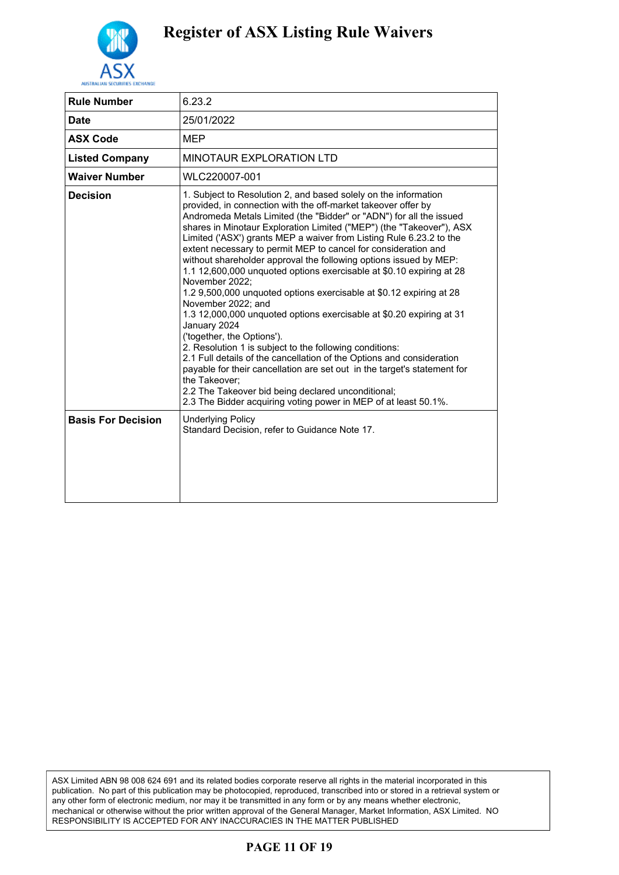

| <b>Rule Number</b>        | 6.23.2                                                                                                                                                                                                                                                                                                                                                                                                                                                                                                                                                                                                                                                                                                                                                                                                                                                                                                                                                                                                                                                                                                                                                               |
|---------------------------|----------------------------------------------------------------------------------------------------------------------------------------------------------------------------------------------------------------------------------------------------------------------------------------------------------------------------------------------------------------------------------------------------------------------------------------------------------------------------------------------------------------------------------------------------------------------------------------------------------------------------------------------------------------------------------------------------------------------------------------------------------------------------------------------------------------------------------------------------------------------------------------------------------------------------------------------------------------------------------------------------------------------------------------------------------------------------------------------------------------------------------------------------------------------|
| <b>Date</b>               | 25/01/2022                                                                                                                                                                                                                                                                                                                                                                                                                                                                                                                                                                                                                                                                                                                                                                                                                                                                                                                                                                                                                                                                                                                                                           |
| <b>ASX Code</b>           | <b>MEP</b>                                                                                                                                                                                                                                                                                                                                                                                                                                                                                                                                                                                                                                                                                                                                                                                                                                                                                                                                                                                                                                                                                                                                                           |
| <b>Listed Company</b>     | <b>MINOTAUR EXPLORATION LTD</b>                                                                                                                                                                                                                                                                                                                                                                                                                                                                                                                                                                                                                                                                                                                                                                                                                                                                                                                                                                                                                                                                                                                                      |
| <b>Waiver Number</b>      | WLC220007-001                                                                                                                                                                                                                                                                                                                                                                                                                                                                                                                                                                                                                                                                                                                                                                                                                                                                                                                                                                                                                                                                                                                                                        |
| <b>Decision</b>           | 1. Subject to Resolution 2, and based solely on the information<br>provided, in connection with the off-market takeover offer by<br>Andromeda Metals Limited (the "Bidder" or "ADN") for all the issued<br>shares in Minotaur Exploration Limited ("MEP") (the "Takeover"), ASX<br>Limited ('ASX') grants MEP a waiver from Listing Rule 6.23.2 to the<br>extent necessary to permit MEP to cancel for consideration and<br>without shareholder approval the following options issued by MEP:<br>1.1 12,600,000 unquoted options exercisable at \$0.10 expiring at 28<br>November 2022;<br>1.2 9,500,000 unquoted options exercisable at \$0.12 expiring at 28<br>November 2022; and<br>1.3 12,000,000 unquoted options exercisable at \$0.20 expiring at 31<br>January 2024<br>('together, the Options').<br>2. Resolution 1 is subject to the following conditions:<br>2.1 Full details of the cancellation of the Options and consideration<br>payable for their cancellation are set out in the target's statement for<br>the Takeover:<br>2.2 The Takeover bid being declared unconditional;<br>2.3 The Bidder acquiring voting power in MEP of at least 50.1%. |
| <b>Basis For Decision</b> | <b>Underlying Policy</b><br>Standard Decision, refer to Guidance Note 17.                                                                                                                                                                                                                                                                                                                                                                                                                                                                                                                                                                                                                                                                                                                                                                                                                                                                                                                                                                                                                                                                                            |

ASX Limited ABN 98 008 624 691 and its related bodies corporate reserve all rights in the material incorporated in this publication. No part of this publication may be photocopied, reproduced, transcribed into or stored in a retrieval system or any other form of electronic medium, nor may it be transmitted in any form or by any means whether electronic, mechanical or otherwise without the prior written approval of the General Manager, Market Information, ASX Limited. NO RESPONSIBILITY IS ACCEPTED FOR ANY INACCURACIES IN THE MATTER PUBLISHED

#### **PAGE 11 OF 19**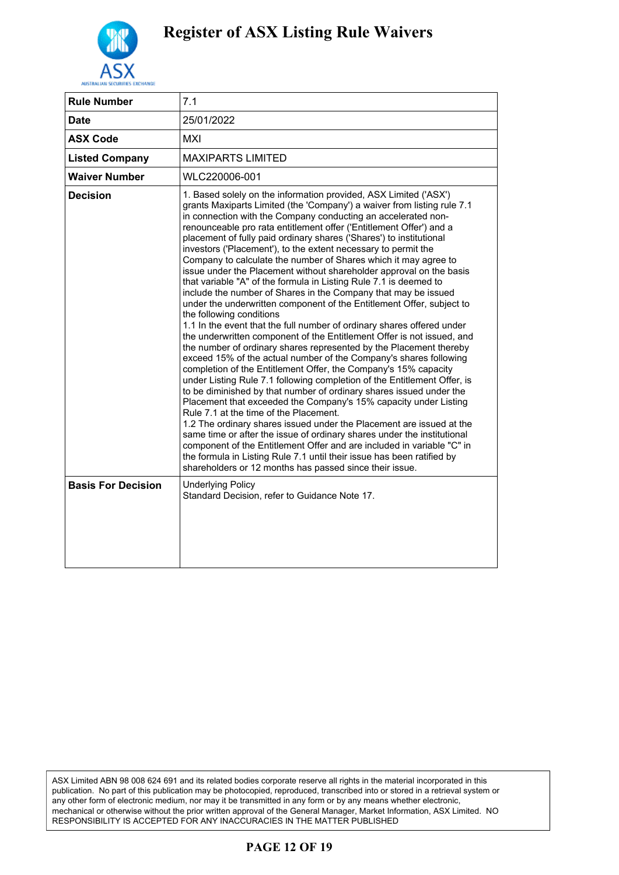

| <b>Rule Number</b>        | 7.1                                                                                                                                                                                                                                                                                                                                                                                                                                                                                                                                                                                                                                                                                                                                                                                                                                                                                                                                                                                                                                                                                                                                                                                                                                                                                                                                                                                                                                                                                                                                                                                                                                                                                                                                                                                                                     |
|---------------------------|-------------------------------------------------------------------------------------------------------------------------------------------------------------------------------------------------------------------------------------------------------------------------------------------------------------------------------------------------------------------------------------------------------------------------------------------------------------------------------------------------------------------------------------------------------------------------------------------------------------------------------------------------------------------------------------------------------------------------------------------------------------------------------------------------------------------------------------------------------------------------------------------------------------------------------------------------------------------------------------------------------------------------------------------------------------------------------------------------------------------------------------------------------------------------------------------------------------------------------------------------------------------------------------------------------------------------------------------------------------------------------------------------------------------------------------------------------------------------------------------------------------------------------------------------------------------------------------------------------------------------------------------------------------------------------------------------------------------------------------------------------------------------------------------------------------------------|
| <b>Date</b>               | 25/01/2022                                                                                                                                                                                                                                                                                                                                                                                                                                                                                                                                                                                                                                                                                                                                                                                                                                                                                                                                                                                                                                                                                                                                                                                                                                                                                                                                                                                                                                                                                                                                                                                                                                                                                                                                                                                                              |
| <b>ASX Code</b>           | MXI                                                                                                                                                                                                                                                                                                                                                                                                                                                                                                                                                                                                                                                                                                                                                                                                                                                                                                                                                                                                                                                                                                                                                                                                                                                                                                                                                                                                                                                                                                                                                                                                                                                                                                                                                                                                                     |
| <b>Listed Company</b>     | <b>MAXIPARTS LIMITED</b>                                                                                                                                                                                                                                                                                                                                                                                                                                                                                                                                                                                                                                                                                                                                                                                                                                                                                                                                                                                                                                                                                                                                                                                                                                                                                                                                                                                                                                                                                                                                                                                                                                                                                                                                                                                                |
| <b>Waiver Number</b>      | WLC220006-001                                                                                                                                                                                                                                                                                                                                                                                                                                                                                                                                                                                                                                                                                                                                                                                                                                                                                                                                                                                                                                                                                                                                                                                                                                                                                                                                                                                                                                                                                                                                                                                                                                                                                                                                                                                                           |
| <b>Decision</b>           | 1. Based solely on the information provided, ASX Limited ('ASX')<br>grants Maxiparts Limited (the 'Company') a waiver from listing rule 7.1<br>in connection with the Company conducting an accelerated non-<br>renounceable pro rata entitlement offer ('Entitlement Offer') and a<br>placement of fully paid ordinary shares ('Shares') to institutional<br>investors ('Placement'), to the extent necessary to permit the<br>Company to calculate the number of Shares which it may agree to<br>issue under the Placement without shareholder approval on the basis<br>that variable "A" of the formula in Listing Rule 7.1 is deemed to<br>include the number of Shares in the Company that may be issued<br>under the underwritten component of the Entitlement Offer, subject to<br>the following conditions<br>1.1 In the event that the full number of ordinary shares offered under<br>the underwritten component of the Entitlement Offer is not issued, and<br>the number of ordinary shares represented by the Placement thereby<br>exceed 15% of the actual number of the Company's shares following<br>completion of the Entitlement Offer, the Company's 15% capacity<br>under Listing Rule 7.1 following completion of the Entitlement Offer, is<br>to be diminished by that number of ordinary shares issued under the<br>Placement that exceeded the Company's 15% capacity under Listing<br>Rule 7.1 at the time of the Placement.<br>1.2 The ordinary shares issued under the Placement are issued at the<br>same time or after the issue of ordinary shares under the institutional<br>component of the Entitlement Offer and are included in variable "C" in<br>the formula in Listing Rule 7.1 until their issue has been ratified by<br>shareholders or 12 months has passed since their issue. |
| <b>Basis For Decision</b> | <b>Underlying Policy</b><br>Standard Decision, refer to Guidance Note 17.                                                                                                                                                                                                                                                                                                                                                                                                                                                                                                                                                                                                                                                                                                                                                                                                                                                                                                                                                                                                                                                                                                                                                                                                                                                                                                                                                                                                                                                                                                                                                                                                                                                                                                                                               |

#### **PAGE 12 OF 19**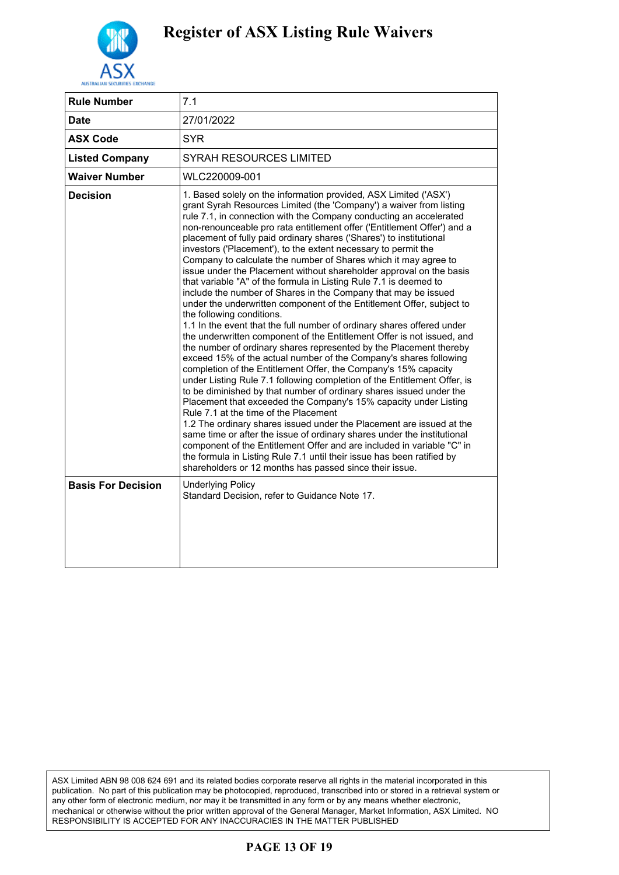

| <b>Rule Number</b>        | 7.1                                                                                                                                                                                                                                                                                                                                                                                                                                                                                                                                                                                                                                                                                                                                                                                                                                                                                                                                                                                                                                                                                                                                                                                                                                                                                                                                                                                                                                                                                                                                                                                                                                                                                                                                                                                                                          |
|---------------------------|------------------------------------------------------------------------------------------------------------------------------------------------------------------------------------------------------------------------------------------------------------------------------------------------------------------------------------------------------------------------------------------------------------------------------------------------------------------------------------------------------------------------------------------------------------------------------------------------------------------------------------------------------------------------------------------------------------------------------------------------------------------------------------------------------------------------------------------------------------------------------------------------------------------------------------------------------------------------------------------------------------------------------------------------------------------------------------------------------------------------------------------------------------------------------------------------------------------------------------------------------------------------------------------------------------------------------------------------------------------------------------------------------------------------------------------------------------------------------------------------------------------------------------------------------------------------------------------------------------------------------------------------------------------------------------------------------------------------------------------------------------------------------------------------------------------------------|
| <b>Date</b>               | 27/01/2022                                                                                                                                                                                                                                                                                                                                                                                                                                                                                                                                                                                                                                                                                                                                                                                                                                                                                                                                                                                                                                                                                                                                                                                                                                                                                                                                                                                                                                                                                                                                                                                                                                                                                                                                                                                                                   |
| <b>ASX Code</b>           | <b>SYR</b>                                                                                                                                                                                                                                                                                                                                                                                                                                                                                                                                                                                                                                                                                                                                                                                                                                                                                                                                                                                                                                                                                                                                                                                                                                                                                                                                                                                                                                                                                                                                                                                                                                                                                                                                                                                                                   |
| <b>Listed Company</b>     | <b>SYRAH RESOURCES LIMITED</b>                                                                                                                                                                                                                                                                                                                                                                                                                                                                                                                                                                                                                                                                                                                                                                                                                                                                                                                                                                                                                                                                                                                                                                                                                                                                                                                                                                                                                                                                                                                                                                                                                                                                                                                                                                                               |
| <b>Waiver Number</b>      | WLC220009-001                                                                                                                                                                                                                                                                                                                                                                                                                                                                                                                                                                                                                                                                                                                                                                                                                                                                                                                                                                                                                                                                                                                                                                                                                                                                                                                                                                                                                                                                                                                                                                                                                                                                                                                                                                                                                |
| <b>Decision</b>           | 1. Based solely on the information provided, ASX Limited ('ASX')<br>grant Syrah Resources Limited (the 'Company') a waiver from listing<br>rule 7.1, in connection with the Company conducting an accelerated<br>non-renounceable pro rata entitlement offer ('Entitlement Offer') and a<br>placement of fully paid ordinary shares ('Shares') to institutional<br>investors ('Placement'), to the extent necessary to permit the<br>Company to calculate the number of Shares which it may agree to<br>issue under the Placement without shareholder approval on the basis<br>that variable "A" of the formula in Listing Rule 7.1 is deemed to<br>include the number of Shares in the Company that may be issued<br>under the underwritten component of the Entitlement Offer, subject to<br>the following conditions.<br>1.1 In the event that the full number of ordinary shares offered under<br>the underwritten component of the Entitlement Offer is not issued, and<br>the number of ordinary shares represented by the Placement thereby<br>exceed 15% of the actual number of the Company's shares following<br>completion of the Entitlement Offer, the Company's 15% capacity<br>under Listing Rule 7.1 following completion of the Entitlement Offer, is<br>to be diminished by that number of ordinary shares issued under the<br>Placement that exceeded the Company's 15% capacity under Listing<br>Rule 7.1 at the time of the Placement<br>1.2 The ordinary shares issued under the Placement are issued at the<br>same time or after the issue of ordinary shares under the institutional<br>component of the Entitlement Offer and are included in variable "C" in<br>the formula in Listing Rule 7.1 until their issue has been ratified by<br>shareholders or 12 months has passed since their issue. |
| <b>Basis For Decision</b> | <b>Underlying Policy</b><br>Standard Decision, refer to Guidance Note 17.                                                                                                                                                                                                                                                                                                                                                                                                                                                                                                                                                                                                                                                                                                                                                                                                                                                                                                                                                                                                                                                                                                                                                                                                                                                                                                                                                                                                                                                                                                                                                                                                                                                                                                                                                    |

#### **PAGE 13 OF 19**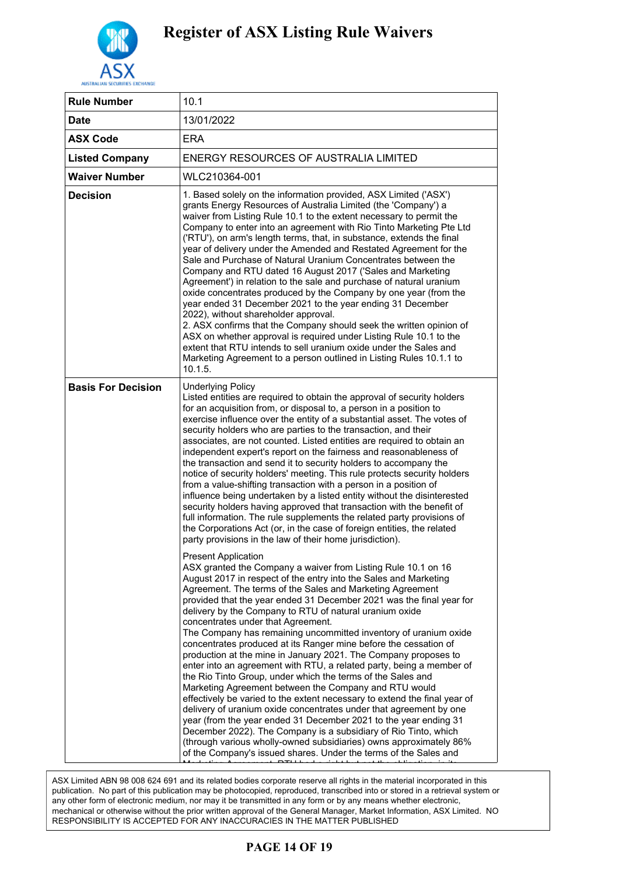

| <b>Rule Number</b>        | 10.1                                                                                                                                                                                                                                                                                                                                                                                                                                                                                                                                                                                                                                                                                                                                                                                                                                                                                                                                                                                                                                                                                                                                                                                                                                                 |
|---------------------------|------------------------------------------------------------------------------------------------------------------------------------------------------------------------------------------------------------------------------------------------------------------------------------------------------------------------------------------------------------------------------------------------------------------------------------------------------------------------------------------------------------------------------------------------------------------------------------------------------------------------------------------------------------------------------------------------------------------------------------------------------------------------------------------------------------------------------------------------------------------------------------------------------------------------------------------------------------------------------------------------------------------------------------------------------------------------------------------------------------------------------------------------------------------------------------------------------------------------------------------------------|
| Date                      | 13/01/2022                                                                                                                                                                                                                                                                                                                                                                                                                                                                                                                                                                                                                                                                                                                                                                                                                                                                                                                                                                                                                                                                                                                                                                                                                                           |
| <b>ASX Code</b>           | <b>ERA</b>                                                                                                                                                                                                                                                                                                                                                                                                                                                                                                                                                                                                                                                                                                                                                                                                                                                                                                                                                                                                                                                                                                                                                                                                                                           |
| <b>Listed Company</b>     | ENERGY RESOURCES OF AUSTRALIA LIMITED                                                                                                                                                                                                                                                                                                                                                                                                                                                                                                                                                                                                                                                                                                                                                                                                                                                                                                                                                                                                                                                                                                                                                                                                                |
| <b>Waiver Number</b>      | WLC210364-001                                                                                                                                                                                                                                                                                                                                                                                                                                                                                                                                                                                                                                                                                                                                                                                                                                                                                                                                                                                                                                                                                                                                                                                                                                        |
| <b>Decision</b>           | 1. Based solely on the information provided, ASX Limited ('ASX')<br>grants Energy Resources of Australia Limited (the 'Company') a<br>waiver from Listing Rule 10.1 to the extent necessary to permit the<br>Company to enter into an agreement with Rio Tinto Marketing Pte Ltd<br>('RTU'), on arm's length terms, that, in substance, extends the final<br>year of delivery under the Amended and Restated Agreement for the<br>Sale and Purchase of Natural Uranium Concentrates between the<br>Company and RTU dated 16 August 2017 ('Sales and Marketing<br>Agreement') in relation to the sale and purchase of natural uranium<br>oxide concentrates produced by the Company by one year (from the<br>year ended 31 December 2021 to the year ending 31 December<br>2022), without shareholder approval.<br>2. ASX confirms that the Company should seek the written opinion of<br>ASX on whether approval is required under Listing Rule 10.1 to the<br>extent that RTU intends to sell uranium oxide under the Sales and<br>Marketing Agreement to a person outlined in Listing Rules 10.1.1 to<br>10.1.5.                                                                                                                                   |
| <b>Basis For Decision</b> | <b>Underlying Policy</b><br>Listed entities are required to obtain the approval of security holders<br>for an acquisition from, or disposal to, a person in a position to<br>exercise influence over the entity of a substantial asset. The votes of<br>security holders who are parties to the transaction, and their<br>associates, are not counted. Listed entities are required to obtain an<br>independent expert's report on the fairness and reasonableness of<br>the transaction and send it to security holders to accompany the<br>notice of security holders' meeting. This rule protects security holders<br>from a value-shifting transaction with a person in a position of<br>influence being undertaken by a listed entity without the disinterested<br>security holders having approved that transaction with the benefit of<br>full information. The rule supplements the related party provisions of<br>the Corporations Act (or, in the case of foreign entities, the related<br>party provisions in the law of their home jurisdiction).                                                                                                                                                                                        |
|                           | <b>Present Application</b><br>ASX granted the Company a waiver from Listing Rule 10.1 on 16<br>August 2017 in respect of the entry into the Sales and Marketing<br>Agreement. The terms of the Sales and Marketing Agreement<br>provided that the year ended 31 December 2021 was the final year for<br>delivery by the Company to RTU of natural uranium oxide<br>concentrates under that Agreement.<br>The Company has remaining uncommitted inventory of uranium oxide<br>concentrates produced at its Ranger mine before the cessation of<br>production at the mine in January 2021. The Company proposes to<br>enter into an agreement with RTU, a related party, being a member of<br>the Rio Tinto Group, under which the terms of the Sales and<br>Marketing Agreement between the Company and RTU would<br>effectively be varied to the extent necessary to extend the final year of<br>delivery of uranium oxide concentrates under that agreement by one<br>year (from the year ended 31 December 2021 to the year ending 31<br>December 2022). The Company is a subsidiary of Rio Tinto, which<br>(through various wholly-owned subsidiaries) owns approximately 86%<br>of the Company's issued shares. Under the terms of the Sales and |

.<br>ASX Limited ABN 98 008 624 691 and its related bodies corporate reserve all rights in the material incorporated in this publication. No part of this publication may be photocopied, reproduced, transcribed into or stored in a retrieval system or publication. any other form of electronic medium, nor may it be transmitted in any form or by any means whether electronic, mechanical or otherwise without the prior written approval of the General Manager, Market Information, ASX Limited. NO RESPONSIBILITY IS ACCEPTED FOR ANY INACCURACIES IN THE MATTER PUBLISHED

#### $\mathbf{N}$  CE 14 OF 10 **PAGE 14 OF 19**

In the event that  $R$  is unwilling to enter into new sales contracts  $\mathcal{L}_\mathbf{X}$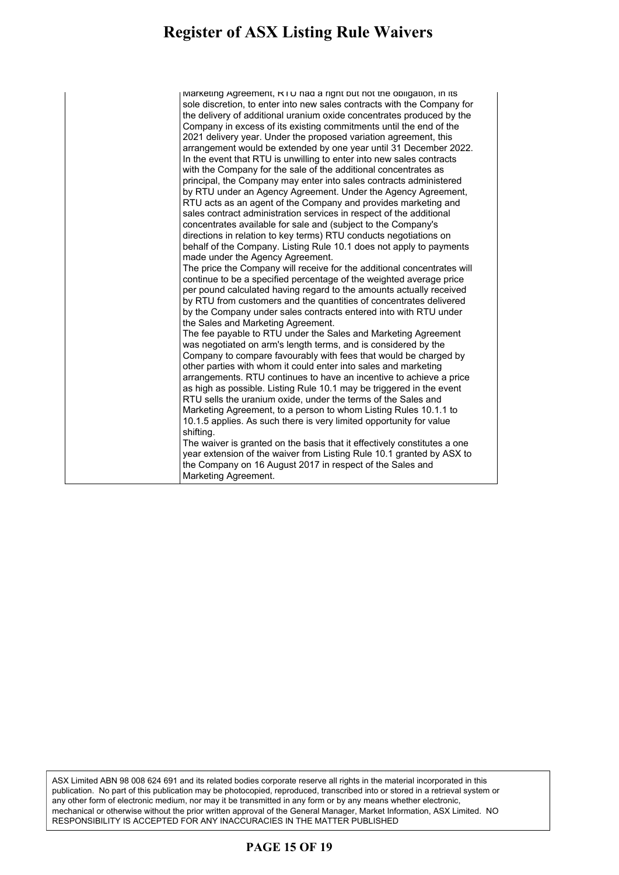#### **Register of ASX Listing Rule Waivers** gister of ASY Listing Rule Waivers giver of their mothing run warrend

| Marketing Agreement, KIU had a right but not the obligation, in its                                     |
|---------------------------------------------------------------------------------------------------------|
| sole discretion, to enter into new sales contracts with the Company for                                 |
| the delivery of additional uranium oxide concentrates produced by the                                   |
| Company in excess of its existing commitments until the end of the                                      |
| 2021 delivery year. Under the proposed variation agreement, this                                        |
| arrangement would be extended by one year until 31 December 2022.                                       |
| In the event that RTU is unwilling to enter into new sales contracts                                    |
| with the Company for the sale of the additional concentrates as                                         |
| principal, the Company may enter into sales contracts administered                                      |
| by RTU under an Agency Agreement. Under the Agency Agreement,                                           |
| RTU acts as an agent of the Company and provides marketing and                                          |
| sales contract administration services in respect of the additional                                     |
| concentrates available for sale and (subject to the Company's                                           |
| directions in relation to key terms) RTU conducts negotiations on                                       |
| behalf of the Company. Listing Rule 10.1 does not apply to payments<br>made under the Agency Agreement. |
| The price the Company will receive for the additional concentrates will                                 |
| continue to be a specified percentage of the weighted average price                                     |
| per pound calculated having regard to the amounts actually received                                     |
| by RTU from customers and the quantities of concentrates delivered                                      |
| by the Company under sales contracts entered into with RTU under                                        |
| the Sales and Marketing Agreement.                                                                      |
| The fee payable to RTU under the Sales and Marketing Agreement                                          |
| was negotiated on arm's length terms, and is considered by the                                          |
| Company to compare favourably with fees that would be charged by                                        |
| other parties with whom it could enter into sales and marketing                                         |
| arrangements. RTU continues to have an incentive to achieve a price                                     |
| as high as possible. Listing Rule 10.1 may be triggered in the event                                    |
| RTU sells the uranium oxide, under the terms of the Sales and                                           |
| Marketing Agreement, to a person to whom Listing Rules 10.1.1 to                                        |
| 10.1.5 applies. As such there is very limited opportunity for value                                     |
| shifting.                                                                                               |
| The waiver is granted on the basis that it effectively constitutes a one                                |
| year extension of the waiver from Listing Rule 10.1 granted by ASX to                                   |
| the Company on 16 August 2017 in respect of the Sales and                                               |
| Marketing Agreement.                                                                                    |

ASX Limited ABN 98 008 624 691 and its related bodies corporate reserve all rights in the material incorporated in this publication. No part of this publication may be photocopied, reproduced, transcribed into or stored in a retrieval system or any other form of electronic medium, nor may it be transmitted in any form or by any means whether electronic, mechanical or otherwise without the prior written approval of the General Manager, Market Information, ASX Limited. NO RESPONSIBILITY IS ACCEPTED FOR ANY INACCURACIES IN THE MATTER PUBLISHED

#### **PAGE 15 OF 19**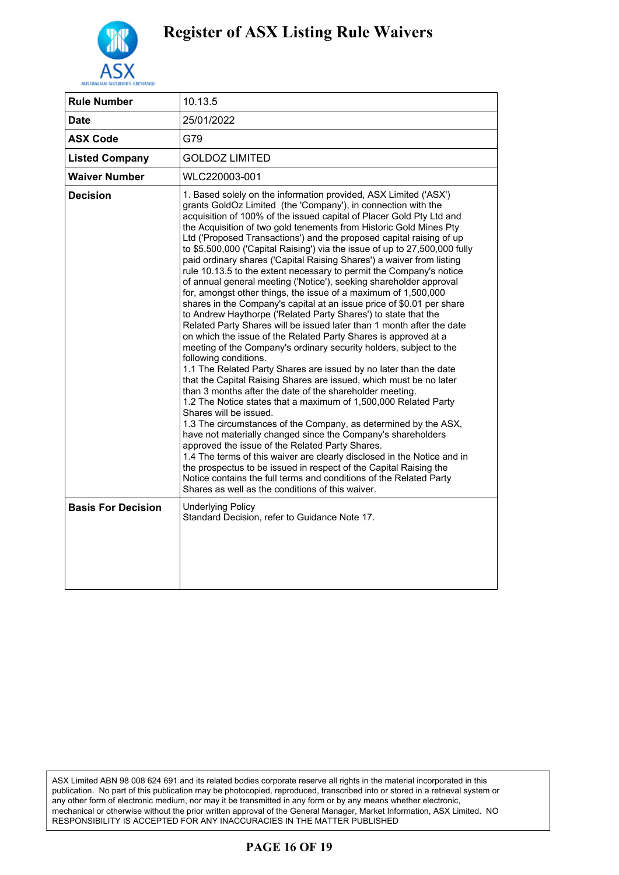

| <b>Rule Number</b>        | 10.13.5                                                                                                                                                                                                                                                                                                                                                                                                                                                                                                                                                                                                                                                                                                                                                                                                                                                                                                                                                                                                                                                                                                                                                                                                                                                                                                                                                                                                                                                                                                                                                                                                                                                                                                                                                                                                                                                                                 |
|---------------------------|-----------------------------------------------------------------------------------------------------------------------------------------------------------------------------------------------------------------------------------------------------------------------------------------------------------------------------------------------------------------------------------------------------------------------------------------------------------------------------------------------------------------------------------------------------------------------------------------------------------------------------------------------------------------------------------------------------------------------------------------------------------------------------------------------------------------------------------------------------------------------------------------------------------------------------------------------------------------------------------------------------------------------------------------------------------------------------------------------------------------------------------------------------------------------------------------------------------------------------------------------------------------------------------------------------------------------------------------------------------------------------------------------------------------------------------------------------------------------------------------------------------------------------------------------------------------------------------------------------------------------------------------------------------------------------------------------------------------------------------------------------------------------------------------------------------------------------------------------------------------------------------------|
| Date                      | 25/01/2022                                                                                                                                                                                                                                                                                                                                                                                                                                                                                                                                                                                                                                                                                                                                                                                                                                                                                                                                                                                                                                                                                                                                                                                                                                                                                                                                                                                                                                                                                                                                                                                                                                                                                                                                                                                                                                                                              |
| <b>ASX Code</b>           | G79                                                                                                                                                                                                                                                                                                                                                                                                                                                                                                                                                                                                                                                                                                                                                                                                                                                                                                                                                                                                                                                                                                                                                                                                                                                                                                                                                                                                                                                                                                                                                                                                                                                                                                                                                                                                                                                                                     |
| <b>Listed Company</b>     | <b>GOLDOZ LIMITED</b>                                                                                                                                                                                                                                                                                                                                                                                                                                                                                                                                                                                                                                                                                                                                                                                                                                                                                                                                                                                                                                                                                                                                                                                                                                                                                                                                                                                                                                                                                                                                                                                                                                                                                                                                                                                                                                                                   |
| <b>Waiver Number</b>      | WLC220003-001                                                                                                                                                                                                                                                                                                                                                                                                                                                                                                                                                                                                                                                                                                                                                                                                                                                                                                                                                                                                                                                                                                                                                                                                                                                                                                                                                                                                                                                                                                                                                                                                                                                                                                                                                                                                                                                                           |
| <b>Decision</b>           | 1. Based solely on the information provided, ASX Limited ('ASX')<br>grants GoldOz Limited (the 'Company'), in connection with the<br>acquisition of 100% of the issued capital of Placer Gold Pty Ltd and<br>the Acquisition of two gold tenements from Historic Gold Mines Pty<br>Ltd ('Proposed Transactions') and the proposed capital raising of up<br>to \$5,500,000 ('Capital Raising') via the issue of up to 27,500,000 fully<br>paid ordinary shares ('Capital Raising Shares') a waiver from listing<br>rule 10.13.5 to the extent necessary to permit the Company's notice<br>of annual general meeting ('Notice'), seeking shareholder approval<br>for, amongst other things, the issue of a maximum of 1,500,000<br>shares in the Company's capital at an issue price of \$0.01 per share<br>to Andrew Haythorpe ('Related Party Shares') to state that the<br>Related Party Shares will be issued later than 1 month after the date<br>on which the issue of the Related Party Shares is approved at a<br>meeting of the Company's ordinary security holders, subject to the<br>following conditions.<br>1.1 The Related Party Shares are issued by no later than the date<br>that the Capital Raising Shares are issued, which must be no later<br>than 3 months after the date of the shareholder meeting.<br>1.2 The Notice states that a maximum of 1,500,000 Related Party<br>Shares will be issued.<br>1.3 The circumstances of the Company, as determined by the ASX,<br>have not materially changed since the Company's shareholders<br>approved the issue of the Related Party Shares.<br>1.4 The terms of this waiver are clearly disclosed in the Notice and in<br>the prospectus to be issued in respect of the Capital Raising the<br>Notice contains the full terms and conditions of the Related Party<br>Shares as well as the conditions of this waiver. |
| <b>Basis For Decision</b> | Underlying Policy<br>Standard Decision, refer to Guidance Note 17.                                                                                                                                                                                                                                                                                                                                                                                                                                                                                                                                                                                                                                                                                                                                                                                                                                                                                                                                                                                                                                                                                                                                                                                                                                                                                                                                                                                                                                                                                                                                                                                                                                                                                                                                                                                                                      |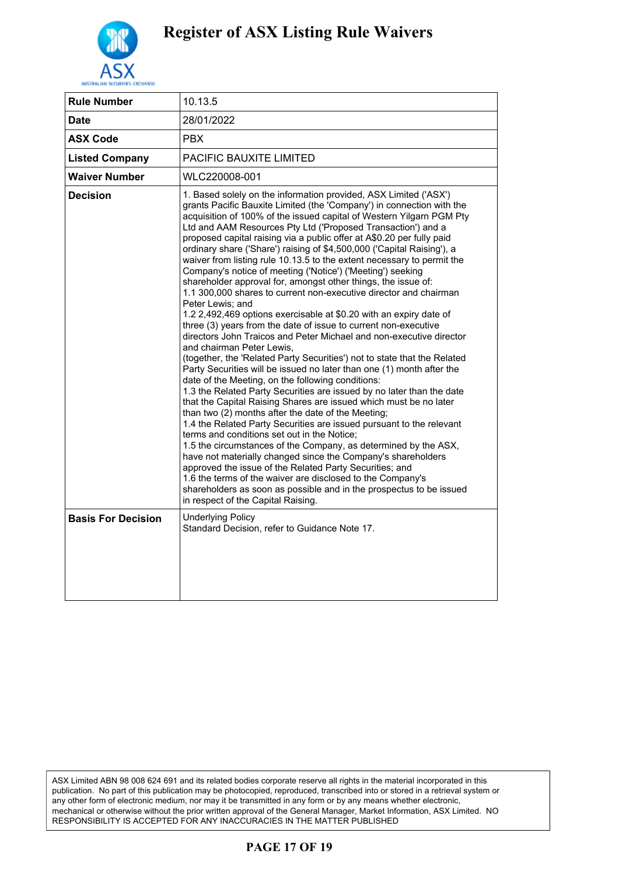

| <b>Rule Number</b>        | 10.13.5                                                                                                                                                                                                                                                                                                                                                                                                                                                                                                                                                                                                                                                                                                                                                                                                                                                                                                                                                                                                                                                                                                                                                                                                                                                                                                                                                                                                                                                                                                                                                                                                                                                                                                                                                                                                                                                                                           |
|---------------------------|---------------------------------------------------------------------------------------------------------------------------------------------------------------------------------------------------------------------------------------------------------------------------------------------------------------------------------------------------------------------------------------------------------------------------------------------------------------------------------------------------------------------------------------------------------------------------------------------------------------------------------------------------------------------------------------------------------------------------------------------------------------------------------------------------------------------------------------------------------------------------------------------------------------------------------------------------------------------------------------------------------------------------------------------------------------------------------------------------------------------------------------------------------------------------------------------------------------------------------------------------------------------------------------------------------------------------------------------------------------------------------------------------------------------------------------------------------------------------------------------------------------------------------------------------------------------------------------------------------------------------------------------------------------------------------------------------------------------------------------------------------------------------------------------------------------------------------------------------------------------------------------------------|
| <b>Date</b>               | 28/01/2022                                                                                                                                                                                                                                                                                                                                                                                                                                                                                                                                                                                                                                                                                                                                                                                                                                                                                                                                                                                                                                                                                                                                                                                                                                                                                                                                                                                                                                                                                                                                                                                                                                                                                                                                                                                                                                                                                        |
| <b>ASX Code</b>           | <b>PBX</b>                                                                                                                                                                                                                                                                                                                                                                                                                                                                                                                                                                                                                                                                                                                                                                                                                                                                                                                                                                                                                                                                                                                                                                                                                                                                                                                                                                                                                                                                                                                                                                                                                                                                                                                                                                                                                                                                                        |
| <b>Listed Company</b>     | <b>PACIFIC BAUXITE LIMITED</b>                                                                                                                                                                                                                                                                                                                                                                                                                                                                                                                                                                                                                                                                                                                                                                                                                                                                                                                                                                                                                                                                                                                                                                                                                                                                                                                                                                                                                                                                                                                                                                                                                                                                                                                                                                                                                                                                    |
| <b>Waiver Number</b>      | WLC220008-001                                                                                                                                                                                                                                                                                                                                                                                                                                                                                                                                                                                                                                                                                                                                                                                                                                                                                                                                                                                                                                                                                                                                                                                                                                                                                                                                                                                                                                                                                                                                                                                                                                                                                                                                                                                                                                                                                     |
| <b>Decision</b>           | 1. Based solely on the information provided, ASX Limited ('ASX')<br>grants Pacific Bauxite Limited (the 'Company') in connection with the<br>acquisition of 100% of the issued capital of Western Yilgarn PGM Pty<br>Ltd and AAM Resources Pty Ltd ('Proposed Transaction') and a<br>proposed capital raising via a public offer at A\$0.20 per fully paid<br>ordinary share ('Share') raising of \$4,500,000 ('Capital Raising'), a<br>waiver from listing rule 10.13.5 to the extent necessary to permit the<br>Company's notice of meeting ('Notice') ('Meeting') seeking<br>shareholder approval for, amongst other things, the issue of:<br>1.1 300,000 shares to current non-executive director and chairman<br>Peter Lewis; and<br>1.2 2,492,469 options exercisable at \$0.20 with an expiry date of<br>three (3) years from the date of issue to current non-executive<br>directors John Traicos and Peter Michael and non-executive director<br>and chairman Peter Lewis.<br>(together, the 'Related Party Securities') not to state that the Related<br>Party Securities will be issued no later than one (1) month after the<br>date of the Meeting, on the following conditions:<br>1.3 the Related Party Securities are issued by no later than the date<br>that the Capital Raising Shares are issued which must be no later<br>than two (2) months after the date of the Meeting;<br>1.4 the Related Party Securities are issued pursuant to the relevant<br>terms and conditions set out in the Notice;<br>1.5 the circumstances of the Company, as determined by the ASX,<br>have not materially changed since the Company's shareholders<br>approved the issue of the Related Party Securities; and<br>1.6 the terms of the waiver are disclosed to the Company's<br>shareholders as soon as possible and in the prospectus to be issued<br>in respect of the Capital Raising. |
| <b>Basis For Decision</b> | <b>Underlying Policy</b><br>Standard Decision, refer to Guidance Note 17.                                                                                                                                                                                                                                                                                                                                                                                                                                                                                                                                                                                                                                                                                                                                                                                                                                                                                                                                                                                                                                                                                                                                                                                                                                                                                                                                                                                                                                                                                                                                                                                                                                                                                                                                                                                                                         |

ASX Limited ABN 98 008 624 691 and its related bodies corporate reserve all rights in the material incorporated in this publication. No part of this publication may be photocopied, reproduced, transcribed into or stored in a retrieval system or any other form of electronic medium, nor may it be transmitted in any form or by any means whether electronic, mechanical or otherwise without the prior written approval of the General Manager, Market Information, ASX Limited. NO RESPONSIBILITY IS ACCEPTED FOR ANY INACCURACIES IN THE MATTER PUBLISHED

#### **PAGE 17 OF 19**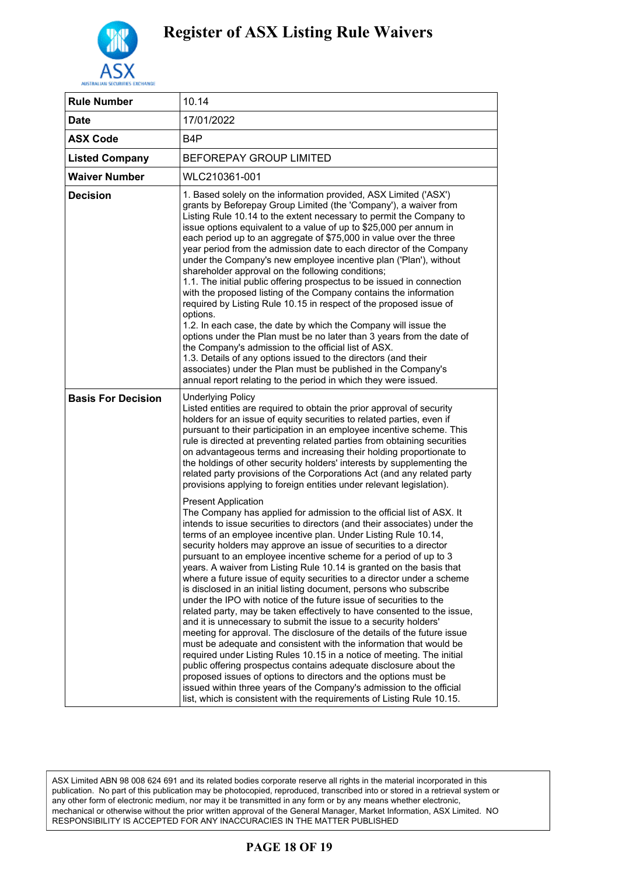

| <b>Rule Number</b>        | 10.14                                                                                                                                                                                                                                                                                                                                                                                                                                                                                                                                                                                                                                                                                                                                                                                                                                                                                                                                                                                                                                                                                                                                                                                                                                                                                                                                                                                                                                                                                                                                                                                                                                                                                                                                                                                                                                                                                                                                                                                                |
|---------------------------|------------------------------------------------------------------------------------------------------------------------------------------------------------------------------------------------------------------------------------------------------------------------------------------------------------------------------------------------------------------------------------------------------------------------------------------------------------------------------------------------------------------------------------------------------------------------------------------------------------------------------------------------------------------------------------------------------------------------------------------------------------------------------------------------------------------------------------------------------------------------------------------------------------------------------------------------------------------------------------------------------------------------------------------------------------------------------------------------------------------------------------------------------------------------------------------------------------------------------------------------------------------------------------------------------------------------------------------------------------------------------------------------------------------------------------------------------------------------------------------------------------------------------------------------------------------------------------------------------------------------------------------------------------------------------------------------------------------------------------------------------------------------------------------------------------------------------------------------------------------------------------------------------------------------------------------------------------------------------------------------------|
| <b>Date</b>               | 17/01/2022                                                                                                                                                                                                                                                                                                                                                                                                                                                                                                                                                                                                                                                                                                                                                                                                                                                                                                                                                                                                                                                                                                                                                                                                                                                                                                                                                                                                                                                                                                                                                                                                                                                                                                                                                                                                                                                                                                                                                                                           |
| <b>ASX Code</b>           | B4P                                                                                                                                                                                                                                                                                                                                                                                                                                                                                                                                                                                                                                                                                                                                                                                                                                                                                                                                                                                                                                                                                                                                                                                                                                                                                                                                                                                                                                                                                                                                                                                                                                                                                                                                                                                                                                                                                                                                                                                                  |
| <b>Listed Company</b>     | <b>BEFOREPAY GROUP LIMITED</b>                                                                                                                                                                                                                                                                                                                                                                                                                                                                                                                                                                                                                                                                                                                                                                                                                                                                                                                                                                                                                                                                                                                                                                                                                                                                                                                                                                                                                                                                                                                                                                                                                                                                                                                                                                                                                                                                                                                                                                       |
| <b>Waiver Number</b>      | WLC210361-001                                                                                                                                                                                                                                                                                                                                                                                                                                                                                                                                                                                                                                                                                                                                                                                                                                                                                                                                                                                                                                                                                                                                                                                                                                                                                                                                                                                                                                                                                                                                                                                                                                                                                                                                                                                                                                                                                                                                                                                        |
| <b>Decision</b>           | 1. Based solely on the information provided, ASX Limited ('ASX')<br>grants by Beforepay Group Limited (the 'Company'), a waiver from<br>Listing Rule 10.14 to the extent necessary to permit the Company to<br>issue options equivalent to a value of up to \$25,000 per annum in<br>each period up to an aggregate of \$75,000 in value over the three<br>year period from the admission date to each director of the Company<br>under the Company's new employee incentive plan ('Plan'), without<br>shareholder approval on the following conditions;<br>1.1. The initial public offering prospectus to be issued in connection<br>with the proposed listing of the Company contains the information<br>required by Listing Rule 10.15 in respect of the proposed issue of<br>options.<br>1.2. In each case, the date by which the Company will issue the<br>options under the Plan must be no later than 3 years from the date of<br>the Company's admission to the official list of ASX.<br>1.3. Details of any options issued to the directors (and their<br>associates) under the Plan must be published in the Company's<br>annual report relating to the period in which they were issued.                                                                                                                                                                                                                                                                                                                                                                                                                                                                                                                                                                                                                                                                                                                                                                                                  |
| <b>Basis For Decision</b> | <b>Underlying Policy</b><br>Listed entities are required to obtain the prior approval of security<br>holders for an issue of equity securities to related parties, even if<br>pursuant to their participation in an employee incentive scheme. This<br>rule is directed at preventing related parties from obtaining securities<br>on advantageous terms and increasing their holding proportionate to<br>the holdings of other security holders' interests by supplementing the<br>related party provisions of the Corporations Act (and any related party<br>provisions applying to foreign entities under relevant legislation).<br><b>Present Application</b><br>The Company has applied for admission to the official list of ASX. It<br>intends to issue securities to directors (and their associates) under the<br>terms of an employee incentive plan. Under Listing Rule 10.14,<br>security holders may approve an issue of securities to a director<br>pursuant to an employee incentive scheme for a period of up to 3<br>years. A waiver from Listing Rule 10.14 is granted on the basis that<br>where a future issue of equity securities to a director under a scheme<br>is disclosed in an initial listing document, persons who subscribe<br>under the IPO with notice of the future issue of securities to the<br>related party, may be taken effectively to have consented to the issue,<br>and it is unnecessary to submit the issue to a security holders'<br>meeting for approval. The disclosure of the details of the future issue<br>must be adequate and consistent with the information that would be<br>required under Listing Rules 10.15 in a notice of meeting. The initial<br>public offering prospectus contains adequate disclosure about the<br>proposed issues of options to directors and the options must be<br>issued within three years of the Company's admission to the official<br>list, which is consistent with the requirements of Listing Rule 10.15. |

### **PAGE 18 OF 19**